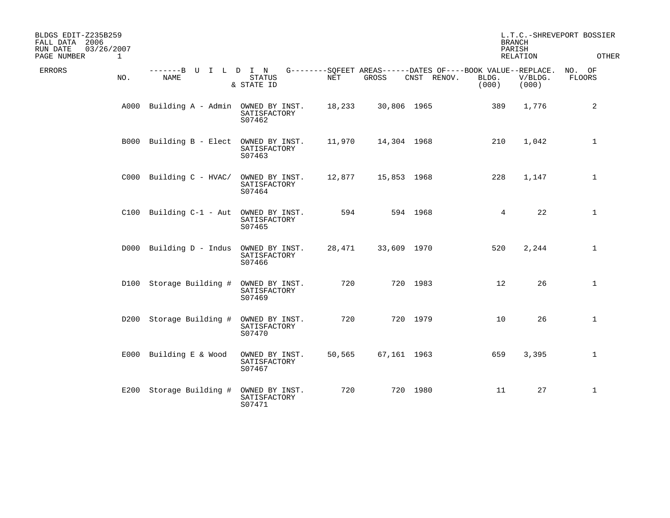| BLDGS EDIT-Z235B259<br>FALL DATA 2006<br>03/26/2007<br>RUN DATE<br>PAGE NUMBER<br>$\mathbf 1$ |                                        |  |                                          |            |                                                                      |             | <b>BRANCH</b><br>PARISH | RELATION         | L.T.C.-SHREVEPORT BOSSIER<br>OTHER |
|-----------------------------------------------------------------------------------------------|----------------------------------------|--|------------------------------------------|------------|----------------------------------------------------------------------|-------------|-------------------------|------------------|------------------------------------|
| <b>ERRORS</b><br>NO.                                                                          | -------B U I L D I N<br><b>NAME</b>    |  | <b>STATUS</b><br>& STATE ID              | <b>NET</b> | G--------SQFEET AREAS------DATES OF----BOOK VALUE--REPLACE.<br>GROSS | CNST RENOV. | BLDG.<br>(000)          | V/BLDG.<br>(000) | NO. OF<br>FLOORS                   |
|                                                                                               | A000 Building A - Admin OWNED BY INST. |  | SATISFACTORY<br>S07462                   | 18,233     | 30,806 1965                                                          |             | 389                     | 1,776            | 2                                  |
|                                                                                               | B000 Building B - Elect OWNED BY INST. |  | SATISFACTORY<br>S07463                   | 11,970     | 14,304 1968                                                          |             | 210                     | 1,042            | $\mathbf 1$                        |
|                                                                                               | $C000$ Building $C - HVAC/$            |  | OWNED BY INST.<br>SATISFACTORY<br>S07464 | 12,877     | 15,853 1968                                                          |             | 228                     | 1,147            | $\mathbf 1$                        |
|                                                                                               | C100 Building C-1 - Aut                |  | OWNED BY INST.<br>SATISFACTORY<br>S07465 | 594        |                                                                      | 594 1968    | 4                       | 22               | 1                                  |
|                                                                                               | D000 Building D - Indus                |  | OWNED BY INST.<br>SATISFACTORY<br>S07466 | 28,471     | 33,609 1970                                                          |             | 520                     | 2,244            | $\mathbf{1}$                       |
|                                                                                               | D100 Storage Building #                |  | OWNED BY INST.<br>SATISFACTORY<br>S07469 | 720        |                                                                      | 720 1983    | 12                      | 26               | 1                                  |
|                                                                                               | D200 Storage Building #                |  | OWNED BY INST.<br>SATISFACTORY<br>S07470 | 720        |                                                                      | 720 1979    | 10                      | 26               | $\mathbf{1}$                       |
|                                                                                               | E000 Building E & Wood                 |  | OWNED BY INST.<br>SATISFACTORY<br>S07467 | 50,565     | 67,161 1963                                                          |             | 659                     | 3,395            | $\mathbf 1$                        |
|                                                                                               | E200 Storage Building #                |  | OWNED BY INST.<br>SATISFACTORY<br>S07471 | 720        |                                                                      | 720 1980    | 11                      | 27               | $\mathbf{1}$                       |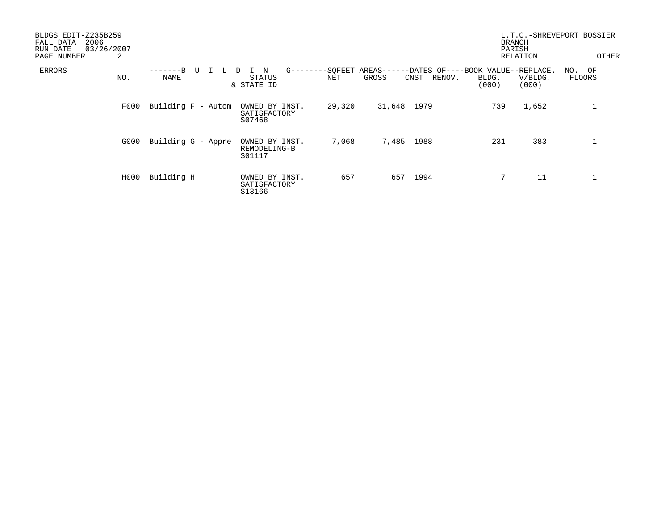| BLDGS EDIT-Z235B259<br>2006<br>FALL DATA<br>03/26/2007<br>RUN DATE<br>PAGE NUMBER | 2    |                          |                                              |        |                                                                       |        | <b>BRANCH</b><br>PARISH | RELATION         | L.T.C.-SHREVEPORT BOSSIER<br>OTHER |
|-----------------------------------------------------------------------------------|------|--------------------------|----------------------------------------------|--------|-----------------------------------------------------------------------|--------|-------------------------|------------------|------------------------------------|
| ERRORS                                                                            | NO.  | $---B$<br>U<br>┶<br>NAME | $G$ ------<br>N<br>D<br>STATUS<br>& STATE ID | NET    | --SOFEET AREAS------DATES OF----BOOK VALUE--REPLACE.<br>GROSS<br>CNST | RENOV. | BLDG.<br>(000)          | V/BLDG.<br>(000) | NO. OF<br>FLOORS                   |
|                                                                                   | F000 | Building F - Autom       | OWNED BY INST.<br>SATISFACTORY<br>S07468     | 29,320 | 31,648 1979                                                           |        | 739                     | 1,652            |                                    |
|                                                                                   | G000 | Building G - Appre       | OWNED BY INST.<br>REMODELING-B<br>S01117     | 7,068  | 7,485                                                                 | 1988   | 231                     | 383              |                                    |
|                                                                                   | H000 | Building H               | OWNED BY INST.<br>SATISFACTORY<br>S13166     | 657    | 657                                                                   | 1994   | 7                       | 11               |                                    |